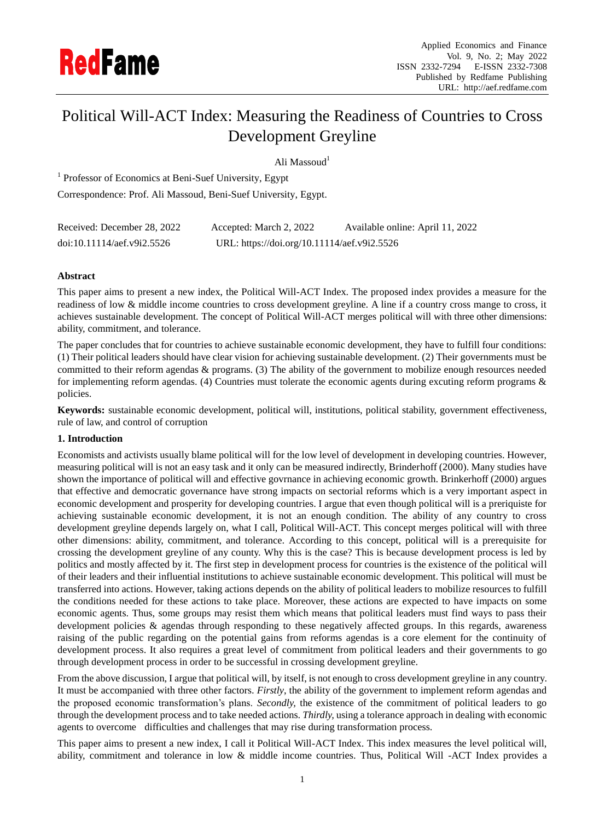

# Political Will-ACT Index: Measuring the Readiness of Countries to Cross Development Greyline

Ali Massoud<sup>1</sup>

<sup>1</sup> Professor of Economics at Beni-Suef University, Egypt Correspondence: Prof. Ali Massoud, Beni-Suef University, Egypt.

| Received: December 28, 2022 | Accepted: March 2, 2022                     | Available online: April 11, 2022 |
|-----------------------------|---------------------------------------------|----------------------------------|
| doi:10.11114/aef.v9i2.5526  | URL: https://doi.org/10.11114/aef.v9i2.5526 |                                  |

# **Abstract**

This paper aims to present a new index, the Political Will-ACT Index. The proposed index provides a measure for the readiness of low & middle income countries to cross development greyline. A line if a country cross mange to cross, it achieves sustainable development. The concept of Political Will-ACT merges political will with three other dimensions: ability, commitment, and tolerance.

The paper concludes that for countries to achieve sustainable economic development, they have to fulfill four conditions: (1) Their political leaders should have clear vision for achieving sustainable development. (2) Their governments must be committed to their reform agendas & programs. (3) The ability of the government to mobilize enough resources needed for implementing reform agendas. (4) Countries must tolerate the economic agents during excuting reform programs & policies.

**Keywords:** sustainable economic development, political will, institutions, political stability, government effectiveness, rule of law, and control of corruption

#### **1. Introduction**

Economists and activists usually blame political will for the low level of development in developing countries. However, measuring political will is not an easy task and it only can be measured indirectly, Brinderhoff (2000). Many studies have shown the importance of political will and effective govrnance in achieving economic growth. Brinkerhoff (2000) argues that effective and democratic governance have strong impacts on sectorial reforms which is a very important aspect in economic development and prosperity for developing countries. I argue that even though political will is a preriquiste for achieving sustainable economic development, it is not an enough condition. The ability of any country to cross development greyline depends largely on, what I call, Political Will-ACT. This concept merges political will with three other dimensions: ability, commitment, and tolerance. According to this concept, political will is a prerequisite for crossing the development greyline of any county. Why this is the case? This is because development process is led by politics and mostly affected by it. The first step in development process for countries is the existence of the political will of their leaders and their influential institutions to achieve sustainable economic development. This political will must be transferred into actions. However, taking actions depends on the ability of political leaders to mobilize resources to fulfill the conditions needed for these actions to take place. Moreover, these actions are expected to have impacts on some economic agents. Thus, some groups may resist them which means that political leaders must find ways to pass their development policies & agendas through responding to these negatively affected groups. In this regards, awareness raising of the public regarding on the potential gains from reforms agendas is a core element for the continuity of development process. It also requires a great level of commitment from political leaders and their governments to go through development process in order to be successful in crossing development greyline.

From the above discussion, I argue that political will, by itself, is not enough to cross development greyline in any country. It must be accompanied with three other factors. *Firstly*, the ability of the government to implement reform agendas and the proposed economic transformation's plans. *Secondly,* the existence of the commitment of political leaders to go through the development process and to take needed actions. *Thirdly,* using a tolerance approach in dealing with economic agents to overcome difficulties and challenges that may rise during transformation process.

This paper aims to present a new index, I call it Political Will-ACT Index. This index measures the level political will, ability, commitment and tolerance in low & middle income countries. Thus, Political Will -ACT Index provides a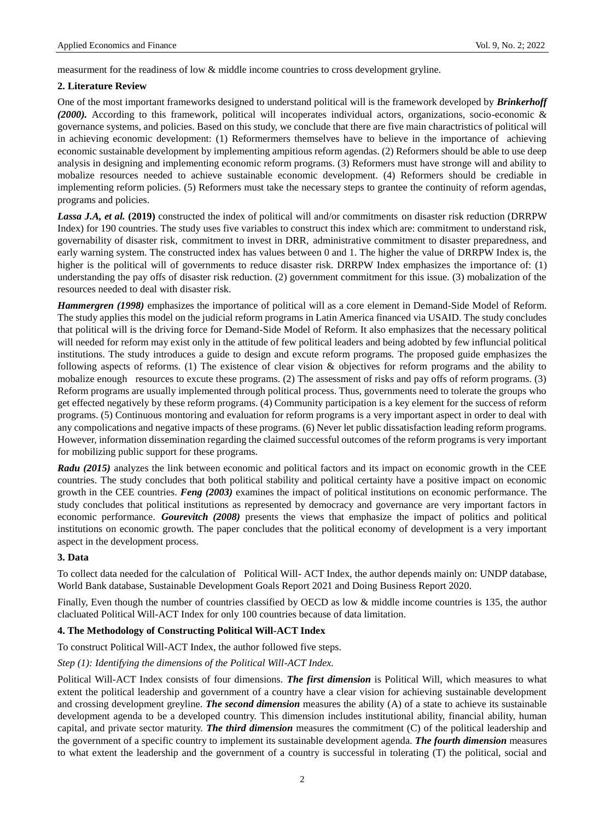measurment for the readiness of low & middle income countries to cross development gryline.

# **2. Literature Review**

One of the most important frameworks designed to understand political will is the framework developed by *Brinkerhoff (2000).* According to this framework, political will incoperates individual actors, organizations, socio-economic & governance systems, and policies. Based on this study, we conclude that there are five main charactristics of political will in achieving economic development: (1) Reformermers themselves have to believe in the importance of achieving economic sustainable development by implementing ampitious reform agendas. (2) Reformers should be able to use deep analysis in designing and implementing economic reform programs. (3) Reformers must have stronge will and ability to mobalize resources needed to achieve sustainable economic development. (4) Reformers should be crediable in implementing reform policies. (5) Reformers must take the necessary steps to grantee the continuity of reform agendas, programs and policies.

*Lassa J.A, et al.* **(2019)** constructed the index of political will and/or commitments on disaster risk reduction (DRRPW Index) for 190 countries. The study uses five variables to construct this index which are: commitment to understand risk, governability of disaster risk, commitment to invest in DRR, administrative commitment to disaster preparedness, and early warning system. The constructed index has values between 0 and 1. The higher the value of DRRPW Index is, the higher is the political will of governments to reduce disaster risk. DRRPW Index emphasizes the importance of: (1) understanding the pay offs of disaster risk reduction. (2) government commitment for this issue. (3) mobalization of the resources needed to deal with disaster risk.

*Hammergren (1998)* emphasizes the importance of political will as a core element in Demand-Side Model of Reform. The study applies this model on the judicial reform programs in Latin America financed via USAID. The study concludes that political will is the driving force for Demand-Side Model of Reform. It also emphasizes that the necessary political will needed for reform may exist only in the attitude of few political leaders and being adobted by few influncial political institutions. The study introduces a guide to design and excute reform programs. The proposed guide emphasizes the following aspects of reforms. (1) The existence of clear vision & objectives for reform programs and the ability to mobalize enough resources to excute these programs. (2) The assessment of risks and pay offs of reform programs. (3) Reform programs are usually implemented through political process. Thus, governments need to tolerate the groups who get effected negatively by these reform programs. (4) Community participation is a key element for the success of reform programs. (5) Continuous montoring and evaluation for reform programs is a very important aspect in order to deal with any compolications and negative impacts of these programs. (6) Never let public dissatisfaction leading reform programs. However, information dissemination regarding the claimed successful outcomes of the reform programs is very important for mobilizing public support for these programs.

*Radu* (2015) analyzes the link between economic and political factors and its impact on economic growth in the CEE countries. The study concludes that both political stability and political certainty have a positive impact on economic growth in the CEE countries. *Feng (2003)* examines the impact of political institutions on economic performance. The study concludes that political institutions as represented by democracy and governance are very important factors in economic performance. *Gourevitch (2008)* presents the views that emphasize the impact of politics and political institutions on economic growth. The paper concludes that the political economy of development is a very important aspect in the development process.

# **3. Data**

To collect data needed for the calculation of Political Will- ACT Index, the author depends mainly on: UNDP database, World Bank database, Sustainable Development Goals Report 2021 and Doing Business Report 2020.

Finally, Even though the number of countries classified by OECD as low & middle income countries is 135, the author clacluated Political Will-ACT Index for only 100 countries because of data limitation.

# **4. The Methodology of Constructing Political Will-ACT Index**

To construct Political Will-ACT Index, the author followed five steps.

#### *Step (1): Identifying the dimensions of the Political Will-ACT Index.*

Political Will-ACT Index consists of four dimensions. *The first dimension* is Political Will, which measures to what extent the political leadership and government of a country have a clear vision for achieving sustainable development and crossing development greyline. *The second dimension* measures the ability (A) of a state to achieve its sustainable development agenda to be a developed country. This dimension includes institutional ability, financial ability, human capital, and private sector maturity. *The third dimension* measures the commitment (C) of the political leadership and the government of a specific country to implement its sustainable development agenda. *The fourth dimension* measures to what extent the leadership and the government of a country is successful in tolerating (T) the political, social and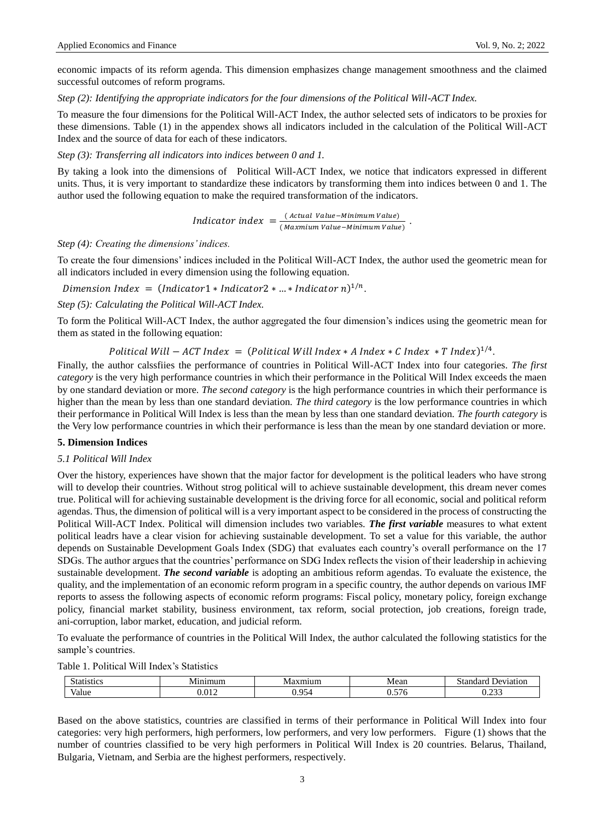economic impacts of its reform agenda. This dimension emphasizes change management smoothness and the claimed successful outcomes of reform programs.

*Step (2): Identifying the appropriate indicators for the four dimensions of the Political Will-ACT Index.*

To measure the four dimensions for the Political Will-ACT Index, the author selected sets of indicators to be proxies for these dimensions. Table (1) in the appendex shows all indicators included in the calculation of the Political Will-ACT Index and the source of data for each of these indicators.

*Step (3): Transferring all indicators into indices between 0 and 1.*

By taking a look into the dimensions of Political Will-ACT Index, we notice that indicators expressed in different units. Thus, it is very important to standardize these indicators by transforming them into indices between 0 and 1. The author used the following equation to make the required transformation of the indicators.

> Indicator index =  $\frac{0}{\sqrt{2}}$  $\overline{\phantom{a}}$ .

*Step (4): Creating the dimensions' indices.*

To create the four dimensions' indices included in the Political Will-ACT Index, the author used the geometric mean for all indicators included in every dimension using the following equation.

Dimension Index =  $(Indication1 * Indication2 * ... * Indication n)^{1/n}$ .

*Step (5): Calculating the Political Will-ACT Index.*

To form the Political Will-ACT Index, the author aggregated the four dimension's indices using the geometric mean for them as stated in the following equation:

Political Will  $-$  ACT Index = (Political Will Index  $*$  A Index  $*$  C Index  $*$  T Index)<sup>1/4</sup>.

Finally, the author calssfiies the performance of countries in Political Will-ACT Index into four categories. *The first category* is the very high performance countries in which their performance in the Political Will Index exceeds the maen by one standard deviation or more. *The second category* is the high performance countries in which their performance is higher than the mean by less than one standard deviation. *The third category* is the low performance countries in which their performance in Political Will Index is less than the mean by less than one standard deviation. *The fourth category* is the Very low performance countries in which their performance is less than the mean by one standard deviation or more.

#### **5. Dimension Indices**

#### *5.1 Political Will Index*

Over the history, experiences have shown that the major factor for development is the political leaders who have strong will to develop their countries. Without strog political will to achieve sustainable development, this dream never comes true. Political will for achieving sustainable development is the driving force for all economic, social and political reform agendas. Thus, the dimension of political will is a very important aspect to be considered in the process of constructing the Political Will-ACT Index. Political will dimension includes two variables. *The first variable* measures to what extent political leadrs have a clear vision for achieving sustainable development. To set a value for this variable, the author depends on Sustainable Development Goals Index (SDG) that evaluates each country's overall performance on the 17 SDGs. The author argues that the countries' performance on SDG Index reflects the vision of their leadership in achieving sustainable development. *The second variable* is adopting an ambitious reform agendas. To evaluate the existence, the quality, and the implementation of an economic reform program in a specific country, the author depends on various IMF reports to assess the following aspects of economic reform programs: Fiscal policy, monetary policy, foreign exchange policy, financial market stability, business environment, tax reform, social protection, job creations, foreign trade, ani-corruption, labor market, education, and judicial reform.

To evaluate the performance of countries in the Political Will Index, the author calculated the following statistics for the sample's countries.

Table 1. Political Will Index's Statistics

| Statistics | $\overline{ }$<br>ımıın<br>- M/L | VI:<br>чнип.         | Mean       | :tor<br>dor.<br>P <sub>1</sub><br>ланоп<br>мапоат |
|------------|----------------------------------|----------------------|------------|---------------------------------------------------|
| Value      | 010                              | $\sim$ $\sim$ $\sim$ | $-$<br>∪.J | $\sim$<br>                                        |

Based on the above statistics, countries are classified in terms of their performance in Political Will Index into four categories: very high performers, high performers, low performers, and very low performers. Figure (1) shows that the number of countries classified to be very high performers in Political Will Index is 20 countries. Belarus, Thailand, Bulgaria, Vietnam, and Serbia are the highest performers, respectively.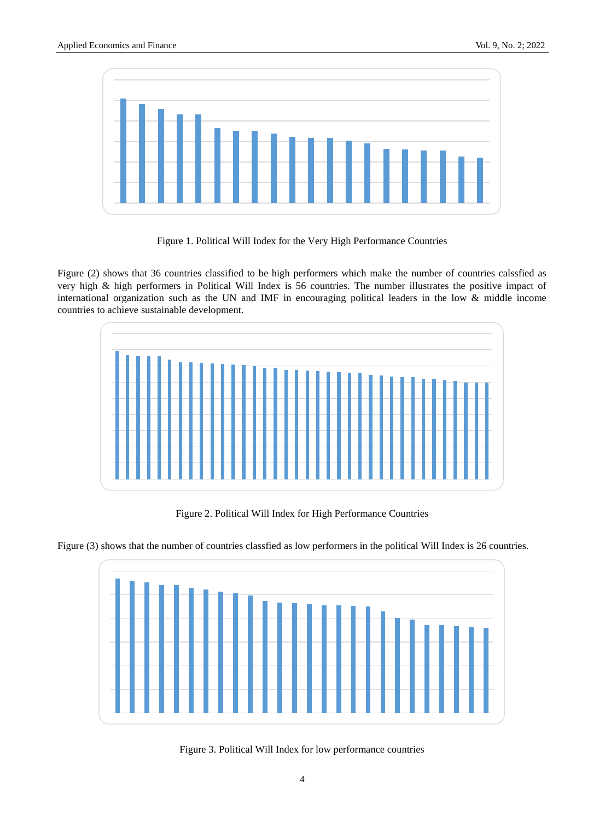

Figure 1. Political Will Index for the Very High Performance Countries

Figure (2) shows that 36 countries classified to be high performers which make the number of countries calssfied as very high & high performers in Political Will Index is 56 countries. The number illustrates the positive impact of international organization such as the UN and IMF in encouraging political leaders in the low & middle income countries to achieve sustainable development.



Figure 2. Political Will Index for High Performance Countries





Figure 3. Political Will Index for low performance countries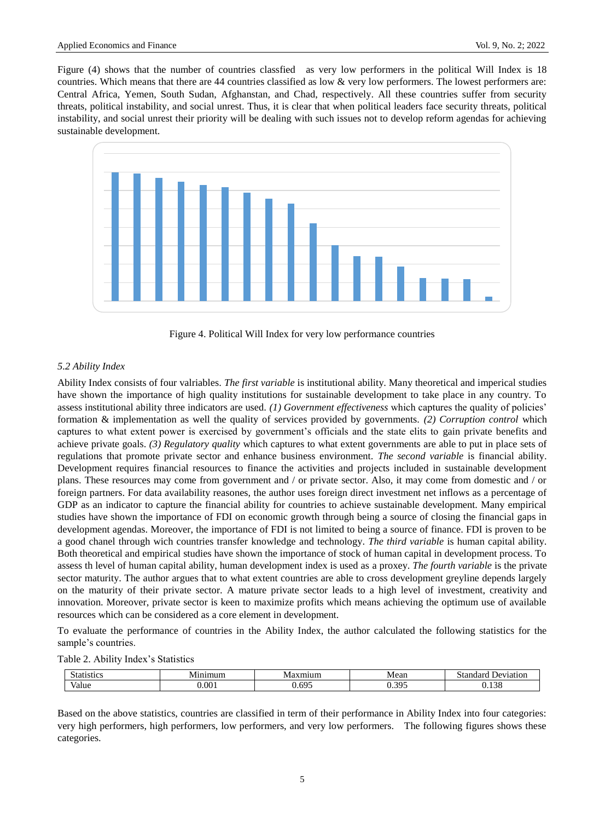Figure (4) shows that the number of countries classfied as very low performers in the political Will Index is 18 countries. Which means that there are 44 countries classified as low & very low performers. The lowest performers are: Central Africa, Yemen, South Sudan, Afghanstan, and Chad, respectively. All these countries suffer from security threats, political instability, and social unrest. Thus, it is clear that when political leaders face security threats, political instability, and social unrest their priority will be dealing with such issues not to develop reform agendas for achieving sustainable development.



Figure 4. Political Will Index for very low performance countries

#### *5.2 Ability Index*

Ability Index consists of four valriables. *The first variable* is institutional ability. Many theoretical and imperical studies have shown the importance of high quality institutions for sustainable development to take place in any country. To assess institutional ability three indicators are used. *(1) Government effectiveness* which captures the quality of policies' formation & implementation as well the quality of services provided by governments. *(2) Corruption control* which captures to what extent power is exercised by government's officials and the state elits to gain private benefits and achieve private goals. *(3) Regulatory quality* which captures to what extent governments are able to put in place sets of regulations that promote private sector and enhance business environment. *The second variable* is financial ability. Development requires financial resources to finance the activities and projects included in sustainable development plans. These resources may come from government and / or private sector. Also, it may come from domestic and / or foreign partners. For data availability reasones, the author uses foreign direct investment net inflows as a percentage of GDP as an indicator to capture the financial ability for countries to achieve sustainable development. Many empirical studies have shown the importance of FDI on economic growth through being a source of closing the financial gaps in development agendas. Moreover, the importance of FDI is not limited to being a source of finance. FDI is proven to be a good chanel through wich countries transfer knowledge and technology. *The third variable* is human capital ability. Both theoretical and empirical studies have shown the importance of stock of human capital in development process. To assess th level of human capital ability, human development index is used as a proxey. *The fourth variable* is the private sector maturity. The author argues that to what extent countries are able to cross development greyline depends largely on the maturity of their private sector. A mature private sector leads to a high level of investment, creativity and innovation. Moreover, private sector is keen to maximize profits which means achieving the optimum use of available resources which can be considered as a core element in development.

To evaluate the performance of countries in the Ability Index, the author calculated the following statistics for the sample's countries.

Table 2. Ability Index's Statistics

| 0.110<br>ŃЯ<br>' ISLIL. | $\mathbf{v}$ | .<br>N/L | Mean    | do se<br>`≢ ຕາ<br>Jeviation<br>.<br>. |
|-------------------------|--------------|----------|---------|---------------------------------------|
| Value                   | $00^{\circ}$ | $\sim$   | . $205$ | .00<br>,,                             |

Based on the above statistics, countries are classified in term of their performance in Ability Index into four categories: very high performers, high performers, low performers, and very low performers. The following figures shows these categories.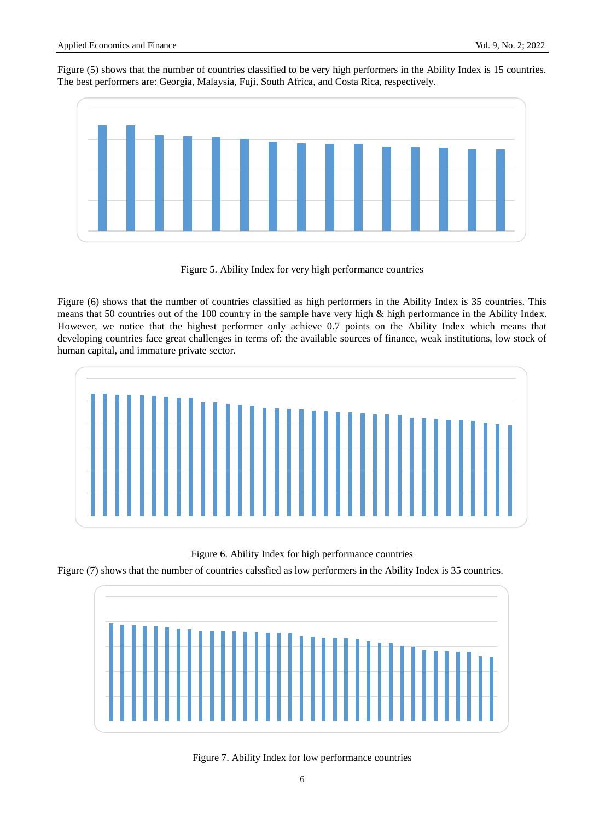Figure (5) shows that the number of countries classified to be very high performers in the Ability Index is 15 countries. The best performers are: Georgia, Malaysia, Fuji, South Africa, and Costa Rica, respectively.



Figure 5. Ability Index for very high performance countries

Figure (6) shows that the number of countries classified as high performers in the Ability Index is 35 countries. This means that 50 countries out of the 100 country in the sample have very high & high performance in the Ability Index. However, we notice that the highest performer only achieve 0.7 points on the Ability Index which means that developing countries face great challenges in terms of: the available sources of finance, weak institutions, low stock of human capital, and immature private sector.



Figure 6. Ability Index for high performance countries

Figure (7) shows that the number of countries calssfied as low performers in the Ability Index is 35 countries.



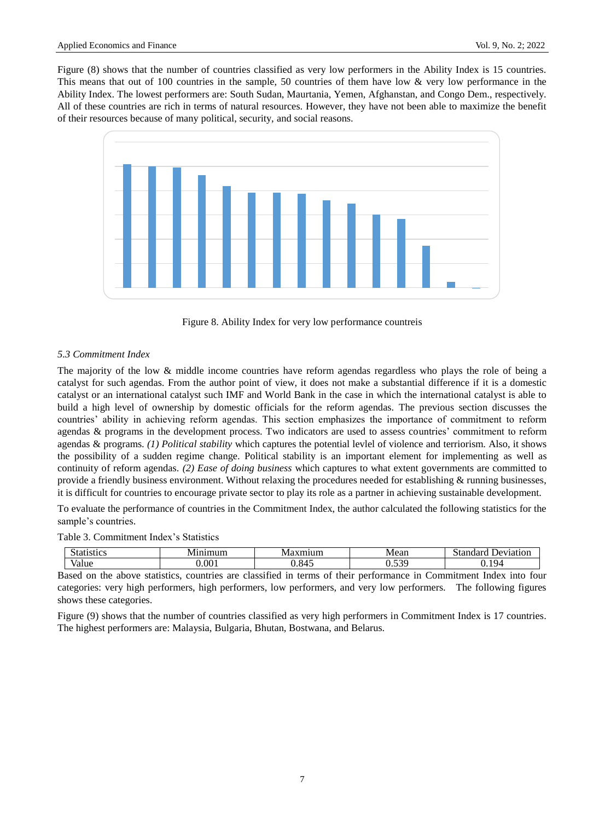Figure (8) shows that the number of countries classified as very low performers in the Ability Index is 15 countries. This means that out of 100 countries in the sample, 50 countries of them have low & very low performance in the Ability Index. The lowest performers are: South Sudan, Maurtania, Yemen, Afghanstan, and Congo Dem., respectively. All of these countries are rich in terms of natural resources. However, they have not been able to maximize the benefit of their resources because of many political, security, and social reasons.





# *5.3 Commitment Index*

The majority of the low & middle income countries have reform agendas regardless who plays the role of being a catalyst for such agendas. From the author point of view, it does not make a substantial difference if it is a domestic catalyst or an international catalyst such IMF and World Bank in the case in which the international catalyst is able to build a high level of ownership by domestic officials for the reform agendas. The previous section discusses the countries' ability in achieving reform agendas. This section emphasizes the importance of commitment to reform agendas & programs in the development process. Two indicators are used to assess countries' commitment to reform agendas & programs. *(1) Political stability* which captures the potential levlel of violence and terriorism. Also, it shows the possibility of a sudden regime change. Political stability is an important element for implementing as well as continuity of reform agendas. *(2) Ease of doing business* which captures to what extent governments are committed to provide a friendly business environment. Without relaxing the procedures needed for establishing & running businesses, it is difficult for countries to encourage private sector to play its role as a partner in achieving sustainable development.

To evaluate the performance of countries in the Commitment Index, the author calculated the following statistics for the sample's countries.

#### Table 3. Commitment Index's Statistics

| .<br>ASHCS. | IΜ<br>,,,, | IVI.<br>чпин. | Mean                   | പ്രക<br>$+ - -$<br>Jeviation<br>паа<br>$\sim$ |
|-------------|------------|---------------|------------------------|-----------------------------------------------|
| Value       | 00         |               | $\overline{r}$<br>v.JJ |                                               |

Based on the above statistics, countries are classified in terms of their performance in Commitment Index into four categories: very high performers, high performers, low performers, and very low performers. The following figures shows these categories.

Figure (9) shows that the number of countries classified as very high performers in Commitment Index is 17 countries. The highest performers are: Malaysia, Bulgaria, Bhutan, Bostwana, and Belarus.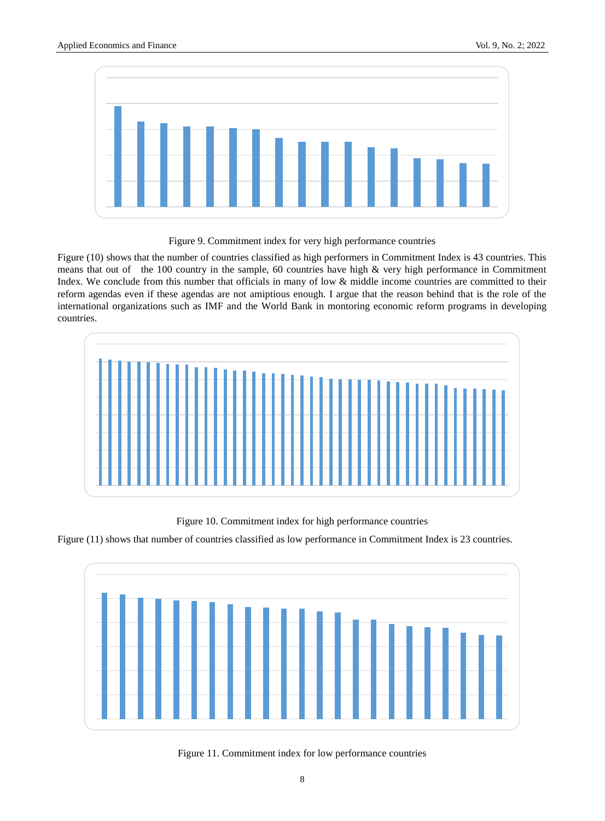

Figure 9. Commitment index for very high performance countries

Figure (10) shows that the number of countries classified as high performers in Commitment Index is 43 countries. This means that out of the 100 country in the sample, 60 countries have high & very high performance in Commitment Index. We conclude from this number that officials in many of low & middle income countries are committed to their reform agendas even if these agendas are not amiptious enough. I argue that the reason behind that is the role of the international organizations such as IMF and the World Bank in montoring economic reform programs in developing countries.



Figure 10. Commitment index for high performance countries





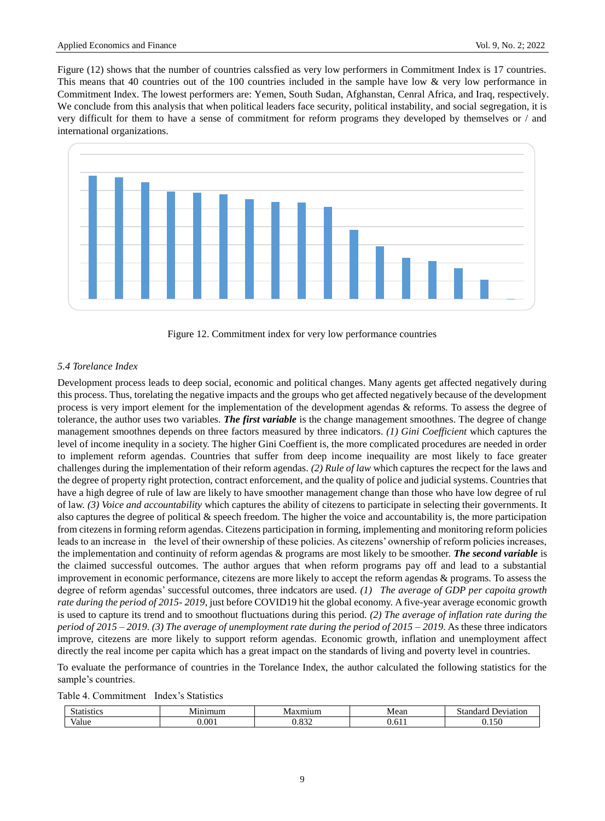Figure (12) shows that the number of countries calssfied as very low performers in Commitment Index is 17 countries. This means that 40 countries out of the 100 countries included in the sample have low  $\&$  very low performance in Commitment Index. The lowest performers are: Yemen, South Sudan, Afghanstan, Cenral Africa, and Iraq, respectively. We conclude from this analysis that when political leaders face security, political instability, and social segregation, it is very difficult for them to have a sense of commitment for reform programs they developed by themselves or / and international organizations.



Figure 12. Commitment index for very low performance countries

#### *5.4 Torelance Index*

Development process leads to deep social, economic and political changes. Many agents get affected negatively during this process. Thus, torelating the negative impacts and the groups who get affected negatively because of the development process is very import element for the implementation of the development agendas & reforms. To assess the degree of tolerance, the author uses two variables. *The first variable* is the change management smoothnes. The degree of change management smoothnes depends on three factors measured by three indicators. *(1) Gini Coefficient* which captures the level of income inequlity in a society. The higher Gini Coeffient is, the more complicated procedures are needed in order to implement reform agendas. Countries that suffer from deep income inequaility are most likely to face greater challenges during the implementation of their reform agendas. *(2) Rule of law* which captures the recpect for the laws and the degree of property right protection, contract enforcement, and the quality of police and judicial systems. Countries that have a high degree of rule of law are likely to have smoother management change than those who have low degree of rul of law. *(3) Voice and accountability* which captures the ability of citezens to participate in selecting their governments. It also captures the degree of political  $\&$  speech freedom. The higher the voice and accountability is, the more participation from citezens in forming reform agendas. Citezens participation in forming, implementing and monitoring reform policies leads to an increase in the level of their ownership of these policies. As citezens' ownership of reform policies increases, the implementation and continuity of reform agendas & programs are most likely to be smoother. *The second variable* is the claimed successful outcomes. The author argues that when reform programs pay off and lead to a substantial improvement in economic performance, citezens are more likely to accept the reform agendas & programs. To assess the degree of reform agendas' successful outcomes, three indcators are used. *(1) The average of GDP per capoita growth rate during the period of 2015- 2019*, just before COVID19 hit the global economy. A five-year average economic growth is used to capture its trend and to smoothout fluctuations during this period. *(2) The average of inflation rate during the period of 2015 – 2019*. *(3) The average of unemployment rate during the period of 2015 – 2019*. As these three indicators improve, citezens are more likely to support reform agendas. Economic growth, inflation and unemployment affect directly the real income per capita which has a great impact on the standards of living and poverty level in countries.

To evaluate the performance of countries in the Torelance Index, the author calculated the following statistics for the sample's countries.

Table 4. Commitment Index's Statistics

| эн.        | . .<br>ייי | v | Mean | $\sim$ 45 |
|------------|------------|---|------|-----------|
| $\sqrt{2}$ | UU.        |   |      |           |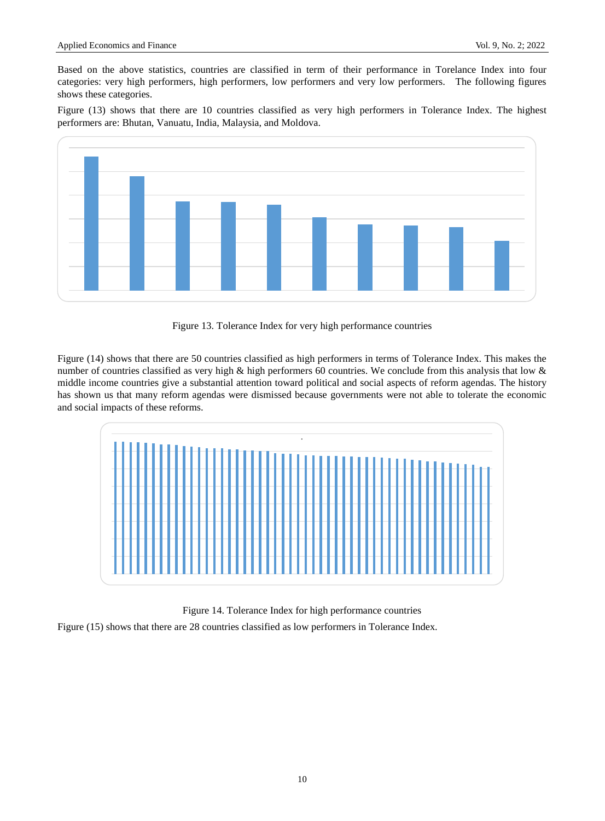Based on the above statistics, countries are classified in term of their performance in Torelance Index into four categories: very high performers, high performers, low performers and very low performers. The following figures shows these categories.

Figure (13) shows that there are 10 countries classified as very high performers in Tolerance Index. The highest performers are: Bhutan, Vanuatu, India, Malaysia, and Moldova.



Figure 13. Tolerance Index for very high performance countries

Figure (14) shows that there are 50 countries classified as high performers in terms of Tolerance Index. This makes the number of countries classified as very high & high performers 60 countries. We conclude from this analysis that low & middle income countries give a substantial attention toward political and social aspects of reform agendas. The history has shown us that many reform agendas were dismissed because governments were not able to tolerate the economic and social impacts of these reforms.



Figure 14. Tolerance Index for high performance countries

Figure (15) shows that there are 28 countries classified as low performers in Tolerance Index.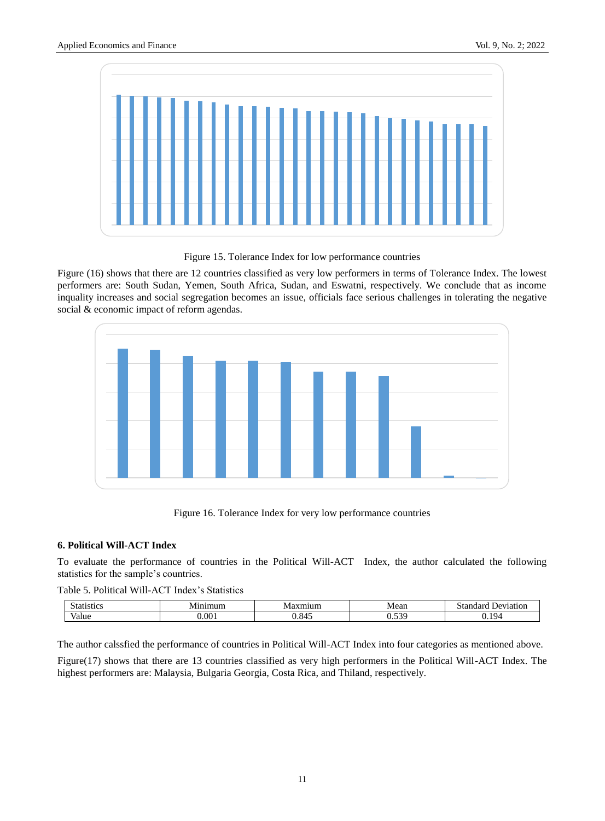

Figure 15. Tolerance Index for low performance countries

Figure (16) shows that there are 12 countries classified as very low performers in terms of Tolerance Index. The lowest performers are: South Sudan, Yemen, South Africa, Sudan, and Eswatni, respectively. We conclude that as income inquality increases and social segregation becomes an issue, officials face serious challenges in tolerating the negative social & economic impact of reform agendas.



Figure 16. Tolerance Index for very low performance countries

# **6. Political Will-ACT Index**

To evaluate the performance of countries in the Political Will-ACT Index, the author calculated the following statistics for the sample's countries.

Table 5. Political Will-ACT Index's Statistics

| $\tilde{\phantom{a}}$<br>SHC. | .<br>19.ZH | v | Mean         | $+22$<br>.<br>intior |
|-------------------------------|------------|---|--------------|----------------------|
| $\mathbf{r}$<br>'alue         | $\Omega$   |   | 5.72C<br>◡.◡ | $1Q_4$               |

The author calssfied the performance of countries in Political Will-ACT Index into four categories as mentioned above.

Figure(17) shows that there are 13 countries classified as very high performers in the Political Will-ACT Index. The highest performers are: Malaysia, Bulgaria Georgia, Costa Rica, and Thiland, respectively.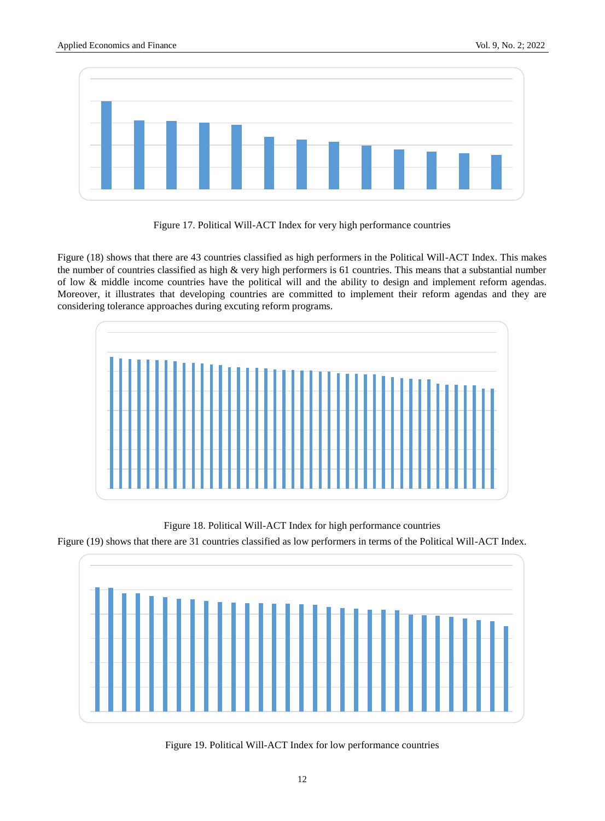



Figure (18) shows that there are 43 countries classified as high performers in the Political Will-ACT Index. This makes the number of countries classified as high  $\&$  very high performers is 61 countries. This means that a substantial number of low & middle income countries have the political will and the ability to design and implement reform agendas. Moreover, it illustrates that developing countries are committed to implement their reform agendas and they are considering tolerance approaches during excuting reform programs.



Figure 18. Political Will-ACT Index for high performance countries

Figure (19) shows that there are 31 countries classified as low performers in terms of the Political Will-ACT Index.

![](_page_11_Figure_8.jpeg)

![](_page_11_Figure_9.jpeg)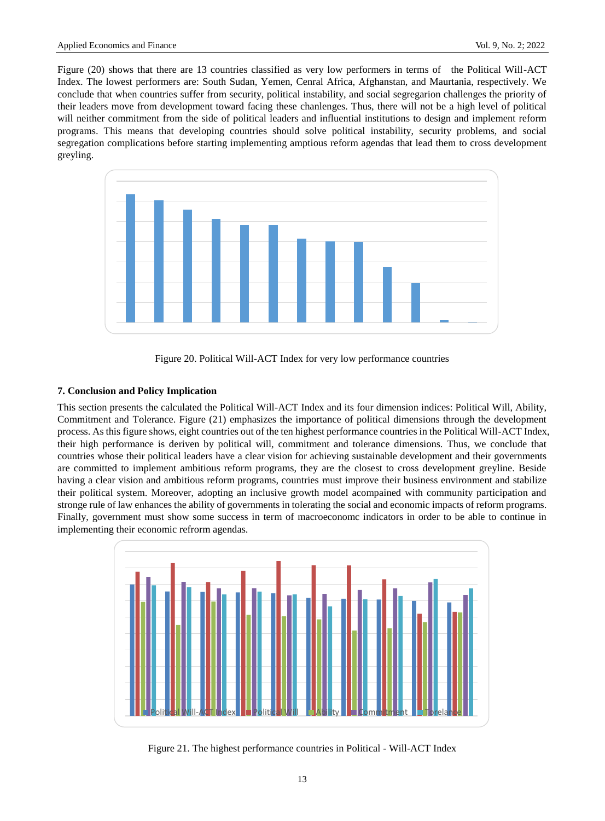Figure (20) shows that there are 13 countries classified as very low performers in terms of the Political Will-ACT Index. The lowest performers are: South Sudan, Yemen, Cenral Africa, Afghanstan, and Maurtania, respectively. We conclude that when countries suffer from security, political instability, and social segregarion challenges the priority of their leaders move from development toward facing these chanlenges. Thus, there will not be a high level of political will neither commitment from the side of political leaders and influential institutions to design and implement reform programs. This means that developing countries should solve political instability, security problems, and social segregation complications before starting implementing amptious reform agendas that lead them to cross development greyling.

![](_page_12_Figure_3.jpeg)

Figure 20. Political Will-ACT Index for very low performance countries

# **7. Conclusion and Policy Implication**

This section presents the calculated the Political Will-ACT Index and its four dimension indices: Political Will, Ability, Commitment and Tolerance. Figure (21) emphasizes the importance of political dimensions through the development process. As this figure shows, eight countries out of the ten highest performance countries in the Political Will-ACT Index, their high performance is deriven by political will, commitment and tolerance dimensions. Thus, we conclude that countries whose their political leaders have a clear vision for achieving sustainable development and their governments are committed to implement ambitious reform programs, they are the closest to cross development greyline. Beside having a clear vision and ambitious reform programs, countries must improve their business environment and stabilize their political system. Moreover, adopting an inclusive growth model acompained with community participation and stronge rule of law enhances the ability of governments in tolerating the social and economic impacts of reform programs. Finally, government must show some success in term of macroeconomc indicators in order to be able to continue in implementing their economic refrorm agendas.

![](_page_12_Figure_7.jpeg)

Figure 21. The highest performance countries in Political - Will-ACT Index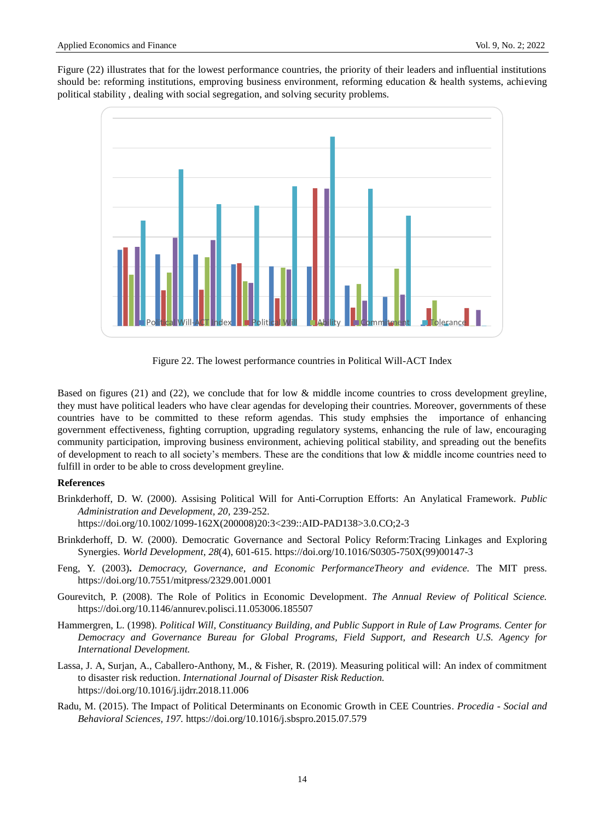Figure (22) illustrates that for the lowest performance countries, the priority of their leaders and influential institutions should be: reforming institutions, emproving business environment, reforming education & health systems, achieving political stability , dealing with social segregation, and solving security problems.

![](_page_13_Figure_3.jpeg)

Figure 22. The lowest performance countries in Political Will-ACT Index

Based on figures (21) and (22), we conclude that for low & middle income countries to cross development greyline, they must have political leaders who have clear agendas for developing their countries. Moreover, governments of these countries have to be committed to these reform agendas. This study emphsies the importance of enhancing government effectiveness, fighting corruption, upgrading regulatory systems, enhancing the rule of law, encouraging community participation, improving business environment, achieving political stability, and spreading out the benefits of development to reach to all society's members. These are the conditions that low & middle income countries need to fulfill in order to be able to cross development greyline.

#### **References**

Brinkderhoff, D. W. (2000). Assising Political Will for Anti-Corruption Efforts: An Anylatical Framework. *Public Administration and Development, 20,* 239-252.

https://doi.org/10.1002/1099-162X(200008)20:3<239::AID-PAD138>3.0.CO;2-3

- Brinkderhoff, D. W. (2000). Democratic Governance and Sectoral Policy Reform:Tracing Linkages and Exploring Synergies. *World Development, 28*(4), 601-615. [https://doi.org/10.1016/S0305-750X\(99\)00147-3](https://doi.org/10.1016/S0305-750X(99)00147-3)
- Feng, Y. (2003)**.** *Democracy, Governance, and Economic PerformanceTheory and evidence.* The MIT press. <https://doi.org/10.7551/mitpress/2329.001.0001>
- Gourevitch, P. (2008). The Role of Politics in Economic Development. *The Annual Review of Political Science.* https://doi.org/10.1146/annurev.polisci.11.053006.185507
- Hammergren, L. (1998). *Political Will, Constituancy Building, and Public Support in Rule of Law Programs. Center for Democracy and Governance Bureau for Global Programs, Field Support, and Research U.S. Agency for International Development.*
- Lassa, J. A, Surjan, A., Caballero-Anthony, M., & Fisher, R. (2019). Measuring political will: An index of commitment to disaster risk reduction. *International Journal of Disaster Risk Reduction.*  https://doi.org/10.1016/j.ijdrr.2018.11.006
- Radu, M. (2015). The Impact of Political Determinants on Economic Growth in CEE Countries. *Procedia - Social and Behavioral Sciences, 197.* <https://doi.org/10.1016/j.sbspro.2015.07.579>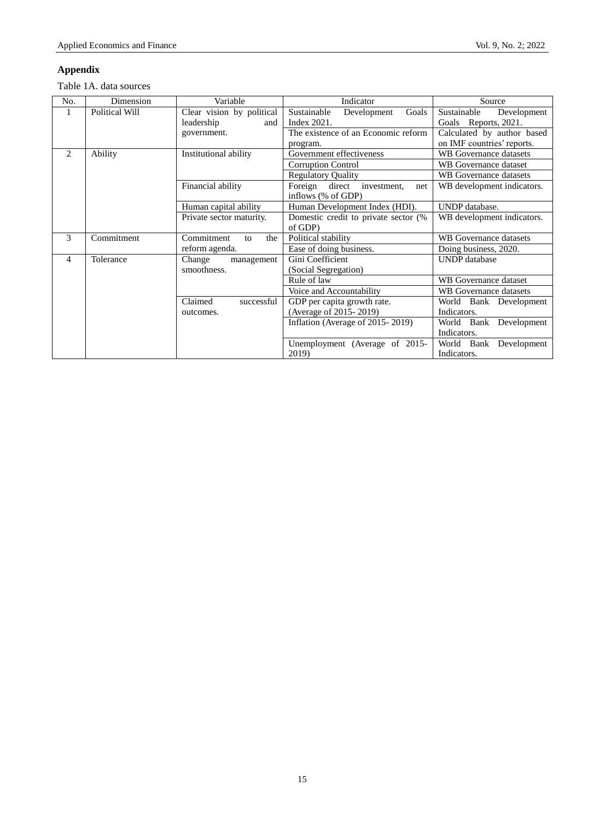# **Appendix**

Table 1A. data sources

| No. | Dimension      | Variable                                       | Indicator                                                  | Source                                                   |
|-----|----------------|------------------------------------------------|------------------------------------------------------------|----------------------------------------------------------|
| 1   | Political Will | Clear vision by political<br>leadership<br>and | Sustainable<br>Goals<br>Development<br>Index 2021.         | Sustainable<br>Development<br>Goals Reports, 2021.       |
|     |                | government.                                    | The existence of an Economic reform<br>program.            | Calculated by author based<br>on IMF countries' reports. |
| 2   | Ability        | Institutional ability                          | Government effectiveness                                   | <b>WB</b> Governance datasets                            |
|     |                |                                                | Corruption Control                                         | WB Governance dataset                                    |
|     |                |                                                | <b>Regulatory Quality</b>                                  | WB Governance datasets                                   |
|     |                | Financial ability                              | Foreign direct<br>investment.<br>net<br>inflows (% of GDP) | WB development indicators.                               |
|     |                | Human capital ability                          | Human Development Index (HDI).                             | UNDP database.                                           |
|     |                | Private sector maturity.                       | Domestic credit to private sector (%)<br>of GDP)           | WB development indicators.                               |
| 3   | Commitment     | Commitment<br>the<br>to                        | Political stability                                        | WB Governance datasets                                   |
|     |                | reform agenda.                                 | Ease of doing business.                                    | Doing business, 2020.                                    |
| 4   | Tolerance      | Change<br>management<br>smoothness.            | Gini Coefficient<br>(Social Segregation)                   | <b>UNDP</b> database                                     |
|     |                |                                                | Rule of law                                                | WB Governance dataset                                    |
|     |                |                                                | Voice and Accountability                                   | WB Governance datasets                                   |
|     |                | Claimed<br>successful                          | GDP per capita growth rate.                                | World Bank Development                                   |
|     |                | outcomes.                                      | (Average of 2015-2019)                                     | Indicators.                                              |
|     |                |                                                | Inflation (Average of 2015 - 2019)                         | World Bank Development                                   |
|     |                |                                                |                                                            | Indicators.                                              |
|     |                |                                                | Unemployment (Average of 2015-<br>2019)                    | World Bank Development<br>Indicators.                    |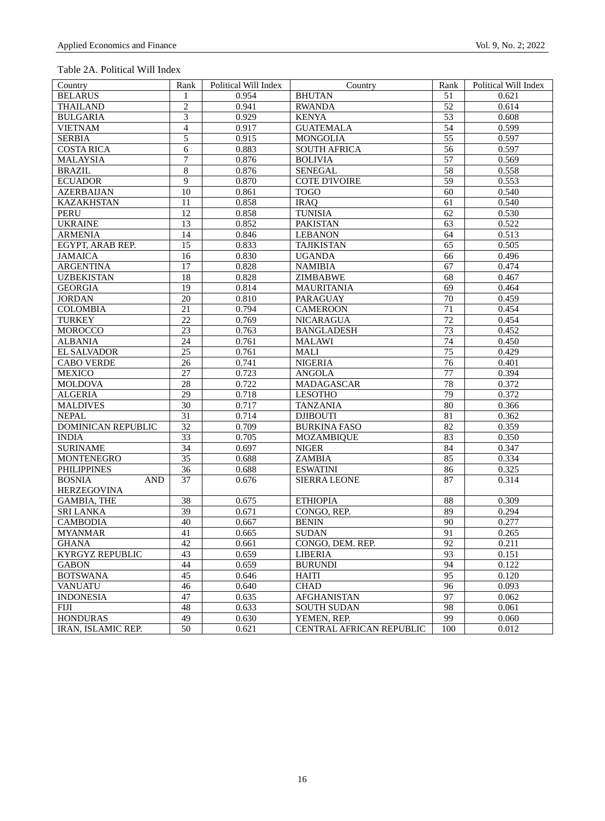# Table 2A. Political Will Index

| Country                             | Rank            | Political Will Index | Country                    | Rank            | Political Will Index |
|-------------------------------------|-----------------|----------------------|----------------------------|-----------------|----------------------|
| <b>BELARUS</b>                      | 1               | 0.954                | <b>BHUTAN</b>              | 51              | 0.621                |
| <b>THAILAND</b>                     | $\overline{c}$  | 0.941                | <b>RWANDA</b>              | 52              | 0.614                |
| <b>BULGARIA</b>                     | $\overline{3}$  | 0.929                | <b>KENYA</b>               | $\overline{53}$ | 0.608                |
| <b>VIETNAM</b>                      | $\overline{4}$  | 0.917                | <b>GUATEMALA</b>           | 54              | 0.599                |
| <b>SERBIA</b>                       | 5               | 0.915                | <b>MONGOLIA</b>            | $\overline{55}$ | 0.597                |
| <b>COSTA RICA</b>                   | 6               | 0.883                | <b>SOUTH AFRICA</b>        | 56              | 0.597                |
| <b>MALAYSIA</b>                     | $\tau$          | 0.876                | <b>BOLIVIA</b>             | $\overline{57}$ | 0.569                |
| <b>BRAZIL</b>                       | $\overline{8}$  | 0.876                | <b>SENEGAL</b>             | 58              | 0.558                |
| <b>ECUADOR</b>                      | $\overline{9}$  | 0.870                | <b>COTE D'IVOIRE</b>       | $\overline{59}$ | 0.553                |
| <b>AZERBAIJAN</b>                   | 10              | 0.861                | <b>TOGO</b>                | 60              | 0.540                |
| <b>KAZAKHSTAN</b>                   | $\overline{11}$ | 0.858                | <b>IRAQ</b>                | 61              | 0.540                |
| <b>PERU</b>                         | 12              | 0.858                | <b>TUNISIA</b>             | 62              | 0.530                |
| <b>UKRAINE</b>                      | 13              | 0.852                | <b>PAKISTAN</b>            | 63              | 0.522                |
| <b>ARMENIA</b>                      | 14              | 0.846                | <b>LEBANON</b>             | 64              | 0.513                |
| EGYPT, ARAB REP.                    | 15              | 0.833                | <b>TAJIKISTAN</b>          | 65              | 0.505                |
| <b>JAMAICA</b>                      | 16              | 0.830                | <b>UGANDA</b>              | 66              | 0.496                |
| <b>ARGENTINA</b>                    | 17              | 0.828                | <b>NAMIBIA</b>             | 67              | 0.474                |
| <b>UZBEKISTAN</b>                   | 18              | 0.828                | ZIMBABWE                   | 68              | 0.467                |
| <b>GEORGIA</b>                      | $\overline{19}$ | 0.814                | <b>MAURITANIA</b>          | 69              | 0.464                |
| <b>JORDAN</b>                       | $\overline{20}$ | 0.810                | PARAGUAY                   | 70              | 0.459                |
| <b>COLOMBIA</b>                     | 21              | 0.794                | <b>CAMEROON</b>            | $\overline{71}$ | 0.454                |
| <b>TURKEY</b>                       | 22              | 0.769                | <b>NICARAGUA</b>           | 72              | 0.454                |
| <b>MOROCCO</b>                      | $\overline{23}$ | 0.763                | <b>BANGLADESH</b>          | $\overline{73}$ | 0.452                |
| <b>ALBANIA</b>                      | 24              | 0.761                | <b>MALAWI</b>              | 74              | 0.450                |
| <b>EL SALVADOR</b>                  | 25              | 0.761                | MALI                       | 75              | 0.429                |
| <b>CABO VERDE</b>                   | 26              | 0.741                | <b>NIGERIA</b>             | 76              | 0.401                |
| <b>MEXICO</b>                       | 27              | 0.723                | <b>ANGOLA</b>              | 77              | 0.394                |
| <b>MOLDOVA</b>                      | $\overline{28}$ | 0.722                | MADAGASCAR                 | 78              | 0.372                |
| <b>ALGERIA</b>                      | 29              | 0.718                | <b>LESOTHO</b>             | 79              | 0.372                |
| <b>MALDIVES</b>                     | 30              | 0.717                | <b>TANZANIA</b>            | 80              | 0.366                |
| <b>NEPAL</b>                        | $\overline{31}$ | 0.714                | <b>DJIBOUTI</b>            | $\overline{81}$ | 0.362                |
| DOMINICAN REPUBLIC                  | $\overline{32}$ | 0.709                | <b>BURKINA FASO</b>        | 82              | 0.359                |
|                                     | 33              | 0.705                |                            | 83              | 0.350                |
| <b>INDIA</b><br><b>SURINAME</b>     | 34              | 0.697                | MOZAMBIQUE<br><b>NIGER</b> | 84              | 0.347                |
| <b>MONTENEGRO</b>                   | $\overline{35}$ | 0.688                | <b>ZAMBIA</b>              | 85              | 0.334                |
| <b>PHILIPPINES</b>                  | 36              |                      | <b>ESWATINI</b>            | 86              | 0.325                |
| <b>AND</b>                          | 37              | 0.688<br>0.676       | SIERRA LEONE               | 87              | 0.314                |
| <b>BOSNIA</b><br><b>HERZEGOVINA</b> |                 |                      |                            |                 |                      |
| <b>GAMBIA, THE</b>                  | 38              | 0.675                | <b>ETHIOPIA</b>            | 88              | 0.309                |
| <b>SRI LANKA</b>                    | 39              | 0.671                | CONGO, REP.                | 89              | 0.294                |
| <b>CAMBODIA</b>                     | 40              | 0.667                | <b>BENIN</b>               | 90              | 0.277                |
| <b>MYANMAR</b>                      | $\overline{41}$ | 0.665                | <b>SUDAN</b>               | 91              | 0.265                |
|                                     | 42              |                      |                            | 92              | 0.211                |
| GHANA                               |                 | 0.661                | CONGO, DEM. REP.           |                 |                      |
| KYRGYZ REPUBLIC                     | 43<br>44        | 0.659<br>0.659       | LIBERIA<br><b>BURUNDI</b>  | 93<br>94        | 0.151<br>0.122       |
| <b>GABON</b>                        |                 |                      |                            |                 |                      |
| <b>BOTSWANA</b>                     | $\overline{45}$ | 0.646                | HAITI                      | 95              | 0.120                |
| <b>VANUATU</b>                      | 46              | 0.640                | <b>CHAD</b>                | 96              | 0.093                |
| <b>INDONESIA</b>                    | 47              | 0.635                | AFGHANISTAN                | 97              | 0.062                |
| FIJI                                | 48              | 0.633                | <b>SOUTH SUDAN</b>         | 98              | 0.061                |
| <b>HONDURAS</b>                     | 49              | 0.630                | YEMEN, REP.                | 99              | 0.060                |
| IRAN, ISLAMIC REP.                  | 50              | 0.621                | CENTRAL AFRICAN REPUBLIC   | 100             | 0.012                |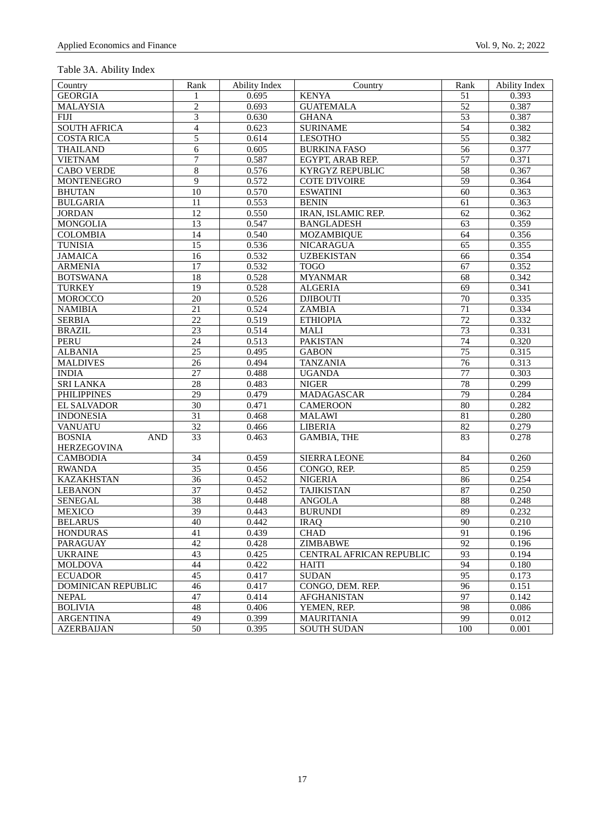| Country                     | Rank            | <b>Ability Index</b> | Country                   | Rank            | <b>Ability Index</b> |
|-----------------------------|-----------------|----------------------|---------------------------|-----------------|----------------------|
| <b>GEORGIA</b>              | 1               | 0.695                | <b>KENYA</b>              | 51              | 0.393                |
| <b>MALAYSIA</b>             | $\overline{2}$  | 0.693                | <b>GUATEMALA</b>          | 52              | 0.387                |
| <b>FIJI</b>                 | 3               | 0.630                | <b>GHANA</b>              | 53              | 0.387                |
| <b>SOUTH AFRICA</b>         | $\overline{4}$  | 0.623                | <b>SURINAME</b>           | $\overline{54}$ | 0.382                |
| <b>COSTA RICA</b>           | 5               | 0.614                | <b>LESOTHO</b>            | 55              | 0.382                |
| <b>THAILAND</b>             | 6               | 0.605                | <b>BURKINA FASO</b>       | 56              | 0.377                |
| <b>VIETNAM</b>              | 7               | 0.587                | EGYPT, ARAB REP.          | 57              | 0.371                |
| <b>CABO VERDE</b>           | $\,$ 8 $\,$     | 0.576                | KYRGYZ REPUBLIC           | $\overline{58}$ | 0.367                |
| <b>MONTENEGRO</b>           | 9               | 0.572                | <b>COTE D'IVOIRE</b>      | 59              | 0.364                |
| <b>BHUTAN</b>               | 10              | 0.570                | <b>ESWATINI</b>           | 60              | 0.363                |
| <b>BULGARIA</b>             | 11              | 0.553                | <b>BENIN</b>              | 61              | 0.363                |
| <b>JORDAN</b>               | $\overline{12}$ | 0.550                | <b>IRAN, ISLAMIC REP.</b> | 62              | 0.362                |
| <b>MONGOLIA</b>             | 13              | 0.547                | <b>BANGLADESH</b>         | 63              | 0.359                |
| <b>COLOMBIA</b>             | 14              | 0.540                | <b>MOZAMBIQUE</b>         | 64              | 0.356                |
| <b>TUNISIA</b>              | 15              | 0.536                | NICARAGUA                 | 65              | 0.355                |
| <b>JAMAICA</b>              | $\overline{16}$ | 0.532                | <b>UZBEKISTAN</b>         | 66              | 0.354                |
| <b>ARMENIA</b>              | 17              | 0.532                | <b>TOGO</b>               | 67              | 0.352                |
| <b>BOTSWANA</b>             | 18              | 0.528                | <b>MYANMAR</b>            | 68              | 0.342                |
| <b>TURKEY</b>               | 19              | 0.528                | <b>ALGERIA</b>            | 69              | 0.341                |
| <b>MOROCCO</b>              | $\overline{20}$ | 0.526                | <b>DJIBOUTI</b>           | 70              | 0.335                |
| <b>NAMIBIA</b>              | 21              | 0.524                | ZAMBIA                    | 71              | 0.334                |
| <b>SERBIA</b>               | 22              | 0.519                | <b>ETHIOPIA</b>           | 72              | 0.332                |
| <b>BRAZIL</b>               | 23              | 0.514                | MALI                      | 73              | 0.331                |
| <b>PERU</b>                 | $\overline{24}$ | 0.513                | <b>PAKISTAN</b>           | 74              | 0.320                |
| <b>ALBANIA</b>              | 25              | 0.495                | <b>GABON</b>              | 75              | 0.315                |
| <b>MALDIVES</b>             | 26              | 0.494                | <b>TANZANIA</b>           | 76              | 0.313                |
| <b>INDIA</b>                | 27              | 0.488                | <b>UGANDA</b>             | 77              | 0.303                |
| <b>SRI LANKA</b>            | $\overline{28}$ | 0.483                | <b>NIGER</b>              | 78              | 0.299                |
| <b>PHILIPPINES</b>          | $\overline{29}$ | 0.479                | MADAGASCAR                | 79              | 0.284                |
| EL SALVADOR                 | 30              | 0.471                | <b>CAMEROON</b>           | 80              | 0.282                |
| <b>INDONESIA</b>            | $\overline{31}$ | 0.468                | <b>MALAWI</b>             | 81              | 0.280                |
| <b>VANUATU</b>              | 32              | 0.466                | <b>LIBERIA</b>            | 82              | 0.279                |
| <b>BOSNIA</b><br><b>AND</b> | $\overline{33}$ | 0.463                | <b>GAMBIA, THE</b>        | 83              | 0.278                |
| <b>HERZEGOVINA</b>          |                 |                      |                           |                 |                      |
| <b>CAMBODIA</b>             | $\overline{34}$ | 0.459                | SIERRA LEONE              | 84              | 0.260                |
| <b>RWANDA</b>               | $\overline{35}$ | 0.456                | CONGO, REP.               | 85              | 0.259                |
| <b>KAZAKHSTAN</b>           | 36              | 0.452                | <b>NIGERIA</b>            | 86              | 0.254                |
| <b>LEBANON</b>              | 37              | 0.452                | <b>TAJIKISTAN</b>         | 87              | 0.250                |
| <b>SENEGAL</b>              | $\overline{38}$ | 0.448                | <b>ANGOLA</b>             | 88              | 0.248                |
| <b>MEXICO</b>               | $\overline{39}$ | 0.443                | <b>BURUNDI</b>            | 89              | 0.232                |
| <b>BELARUS</b>              | 40              | 0.442                | <b>IRAQ</b>               | 90              | 0.210                |
| <b>HONDURAS</b>             | 41              | 0.439                | <b>CHAD</b>               | 91              | 0.196                |
| PARAGUAY                    | 42              | 0.428                | ZIMBABWE                  | 92              | 0.196                |
| <b>UKRAINE</b>              | 43              | 0.425                | CENTRAL AFRICAN REPUBLIC  | 93              | 0.194                |
| <b>MOLDOVA</b>              | 44              | 0.422                | <b>HAITI</b>              | 94              | 0.180                |
| <b>ECUADOR</b>              | 45              | 0.417                | <b>SUDAN</b>              | 95              | 0.173                |
| <b>DOMINICAN REPUBLIC</b>   | 46              | 0.417                | CONGO, DEM. REP.          | 96              | 0.151                |
| <b>NEPAL</b>                | 47              | 0.414                | <b>AFGHANISTAN</b>        | 97              | 0.142                |
| <b>BOLIVIA</b>              | 48              | 0.406                | YEMEN, REP.               | 98              | 0.086                |
| <b>ARGENTINA</b>            | 49              | 0.399                | <b>MAURITANIA</b>         | 99              | 0.012                |
| <b>AZERBAIJAN</b>           | 50              | 0.395                | <b>SOUTH SUDAN</b>        | 100             | 0.001                |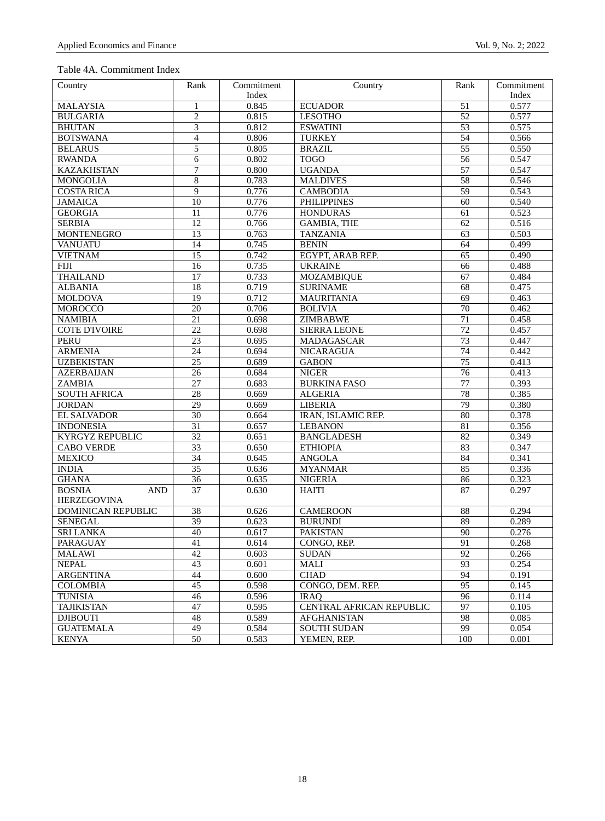# Table 4A. Commitment Index

| Country                                           | Rank                  | Commitment | Country                           | Rank            | Commitment     |
|---------------------------------------------------|-----------------------|------------|-----------------------------------|-----------------|----------------|
|                                                   |                       | Index      |                                   |                 | Index          |
| <b>MALAYSIA</b>                                   | 1                     | 0.845      | <b>ECUADOR</b>                    | 51              | 0.577          |
| <b>BULGARIA</b>                                   | $\overline{2}$        | 0.815      | <b>LESOTHO</b>                    | $\overline{52}$ | 0.577          |
| <b>BHUTAN</b>                                     | 3                     | 0.812      | <b>ESWATINI</b>                   | 53              | 0.575          |
| <b>BOTSWANA</b>                                   | $\overline{4}$        | 0.806      | <b>TURKEY</b>                     | 54              | 0.566          |
| <b>BELARUS</b>                                    | 5                     | 0.805      | <b>BRAZIL</b>                     | 55              | 0.550          |
| <b>RWANDA</b>                                     | 6                     | 0.802      | <b>TOGO</b>                       | 56              | 0.547          |
| <b>KAZAKHSTAN</b>                                 | 7                     | 0.800      | <b>UGANDA</b>                     | 57              | 0.547          |
| <b>MONGOLIA</b>                                   | 8                     | 0.783      | <b>MALDIVES</b>                   | 58              | 0.546          |
| <b>COSTA RICA</b>                                 | 9                     | 0.776      | <b>CAMBODIA</b>                   | 59              | 0.543          |
| <b>JAMAICA</b>                                    | 10                    | 0.776      | <b>PHILIPPINES</b>                | 60              | 0.540          |
| <b>GEORGIA</b>                                    | 11                    | 0.776      | <b>HONDURAS</b>                   | 61              | 0.523          |
| <b>SERBIA</b>                                     | 12                    | 0.766      | <b>GAMBIA, THE</b>                | 62              | 0.516          |
| <b>MONTENEGRO</b>                                 | 13                    | 0.763      | <b>TANZANIA</b>                   | 63              | 0.503          |
| <b>VANUATU</b>                                    | 14                    | 0.745      | <b>BENIN</b>                      | 64              | 0.499          |
| <b>VIETNAM</b>                                    | 15                    | 0.742      | EGYPT, ARAB REP.                  | 65              | 0.490          |
| <b>FIJI</b>                                       | 16                    | 0.735      | <b>UKRAINE</b>                    | 66              | 0.488          |
| <b>THAILAND</b>                                   | 17                    | 0.733      | <b>MOZAMBIQUE</b>                 | 67              | 0.484          |
| <b>ALBANIA</b>                                    | 18                    | 0.719      | <b>SURINAME</b>                   | 68              | 0.475          |
| <b>MOLDOVA</b>                                    | 19                    | 0.712      | <b>MAURITANIA</b>                 | 69              | 0.463          |
| <b>MOROCCO</b>                                    | 20                    | 0.706      | <b>BOLIVIA</b>                    | $\overline{70}$ | 0.462          |
| <b>NAMIBIA</b>                                    | $\overline{21}$       | 0.698      | ZIMBABWE                          | $\overline{71}$ | 0.458          |
| <b>COTE D'IVOIRE</b>                              | 22                    | 0.698      | <b>SIERRA LEONE</b>               | 72              | 0.457          |
| <b>PERU</b>                                       | 23                    | 0.695      | MADAGASCAR                        | 73              | 0.447          |
| <b>ARMENIA</b>                                    | 24                    | 0.694      | <b>NICARAGUA</b>                  | 74              | 0.442          |
| <b>UZBEKISTAN</b>                                 | $\overline{25}$       | 0.689      | <b>GABON</b>                      | 75              | 0.413          |
| <b>AZERBAIJAN</b>                                 | 26                    | 0.684      | <b>NIGER</b>                      | 76              | 0.413          |
| ZAMBIA                                            | 27                    | 0.683      | <b>BURKINA FASO</b>               | $\overline{77}$ | 0.393          |
| <b>SOUTH AFRICA</b>                               | $\overline{28}$       | 0.669      | <b>ALGERIA</b>                    | 78              | 0.385          |
| <b>JORDAN</b>                                     | $\overline{29}$       | 0.669      | <b>LIBERIA</b>                    | 79              | 0.380          |
| <b>EL SALVADOR</b>                                | $\overline{30}$       |            | <b>IRAN, ISLAMIC REP.</b>         | 80              | 0.378          |
|                                                   | $\overline{31}$       | 0.664      |                                   | $\overline{81}$ |                |
| <b>INDONESIA</b>                                  | 32                    | 0.657      | <b>LEBANON</b>                    | 82              | 0.356          |
| <b>KYRGYZ REPUBLIC</b>                            |                       | 0.651      | <b>BANGLADESH</b>                 |                 | 0.349          |
| <b>CABO VERDE</b>                                 | $\overline{33}$       | 0.650      | <b>ETHIOPIA</b>                   | 83              | 0.347          |
| <b>MEXICO</b>                                     | 34                    | 0.645      | <b>ANGOLA</b>                     | 84              | 0.341          |
| <b>INDIA</b>                                      | $\overline{35}$       | 0.636      | <b>MYANMAR</b>                    | 85              | 0.336          |
| <b>GHANA</b>                                      | $\overline{36}$       | 0.635      | <b>NIGERIA</b>                    | 86              | 0.323          |
| <b>BOSNIA</b><br><b>AND</b><br><b>HERZEGOVINA</b> | 37                    | 0.630      | <b>HAITI</b>                      | 87              | 0.297          |
|                                                   |                       |            |                                   |                 |                |
| DOMINICAN REPUBLIC                                | 38<br>$\overline{39}$ | 0.626      | <b>CAMEROON</b><br><b>BURUNDI</b> | 88<br>89        | 0.294<br>0.289 |
| <b>SENEGAL</b>                                    |                       | 0.623      |                                   |                 |                |
| <b>SRI LANKA</b>                                  | 40                    | 0.617      | <b>PAKISTAN</b>                   | $\overline{90}$ | 0.276          |
| PARAGUAY                                          | 41                    | 0.614      | CONGO. REP.                       | 91              | 0.268          |
| <b>MALAWI</b>                                     | 42                    | 0.603      | <b>SUDAN</b>                      | 92              | 0.266          |
| <b>NEPAL</b>                                      | 43                    | 0.601      | MALI                              | 93              | 0.254          |
| <b>ARGENTINA</b>                                  | 44                    | 0.600      | <b>CHAD</b>                       | 94              | 0.191          |
| <b>COLOMBIA</b>                                   | 45                    | 0.598      | CONGO, DEM. REP.                  | 95              | 0.145          |
| <b>TUNISIA</b>                                    | 46                    | 0.596      | <b>IRAQ</b>                       | 96              | 0.114          |
| <b>TAJIKISTAN</b>                                 | 47                    | 0.595      | CENTRAL AFRICAN REPUBLIC          | 97              | 0.105          |
| <b>DJIBOUTI</b>                                   | 48                    | 0.589      | <b>AFGHANISTAN</b>                | 98              | 0.085          |
| <b>GUATEMALA</b>                                  | 49                    | 0.584      | <b>SOUTH SUDAN</b>                | 99              | 0.054          |
| <b>KENYA</b>                                      | 50                    | 0.583      | YEMEN, REP.                       | 100             | 0.001          |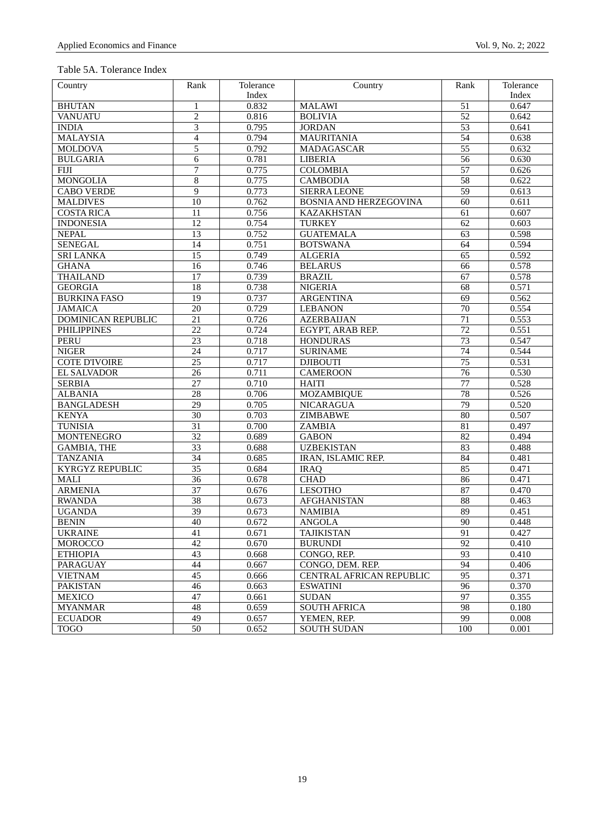# Table 5A. Tolerance Index

| Country                   | Rank            | Tolerance | Country                       | Rank            | Tolerance |
|---------------------------|-----------------|-----------|-------------------------------|-----------------|-----------|
|                           |                 | Index     |                               |                 | Index     |
| <b>BHUTAN</b>             | $\mathbf{1}$    | 0.832     | <b>MALAWI</b>                 | 51              | 0.647     |
| <b>VANUATU</b>            | $\overline{2}$  | 0.816     | <b>BOLIVIA</b>                | 52              | 0.642     |
| <b>INDIA</b>              | 3               | 0.795     | <b>JORDAN</b>                 | 53              | 0.641     |
| <b>MALAYSIA</b>           | $\overline{4}$  | 0.794     | <b>MAURITANIA</b>             | 54              | 0.638     |
| <b>MOLDOVA</b>            | 5               | 0.792     | MADAGASCAR                    | $\overline{55}$ | 0.632     |
| <b>BULGARIA</b>           | 6               | 0.781     | <b>LIBERIA</b>                | $\overline{56}$ | 0.630     |
| <b>FIJI</b>               | 7               | 0.775     | <b>COLOMBIA</b>               | 57              | 0.626     |
| <b>MONGOLIA</b>           | 8               | 0.775     | <b>CAMBODIA</b>               | 58              | 0.622     |
| <b>CABO VERDE</b>         | 9               | 0.773     | <b>SIERRA LEONE</b>           | $\overline{59}$ | 0.613     |
| <b>MALDIVES</b>           | 10              | 0.762     | <b>BOSNIA AND HERZEGOVINA</b> | 60              | 0.611     |
| <b>COSTA RICA</b>         | 11              | 0.756     | <b>KAZAKHSTAN</b>             | 61              | 0.607     |
| <b>INDONESIA</b>          | 12              | 0.754     | <b>TURKEY</b>                 | $\overline{62}$ | 0.603     |
| <b>NEPAL</b>              | 13              | 0.752     | <b>GUATEMALA</b>              | $\overline{63}$ | 0.598     |
| <b>SENEGAL</b>            | 14              | 0.751     | <b>BOTSWANA</b>               | 64              | 0.594     |
| <b>SRI LANKA</b>          | $\overline{15}$ | 0.749     | <b>ALGERIA</b>                | 65              | 0.592     |
| <b>GHANA</b>              | 16              | 0.746     | <b>BELARUS</b>                | 66              | 0.578     |
| <b>THAILAND</b>           | 17              | 0.739     | <b>BRAZIL</b>                 | 67              | 0.578     |
| <b>GEORGIA</b>            | 18              | 0.738     | <b>NIGERIA</b>                | 68              | 0.571     |
| <b>BURKINA FASO</b>       | 19              | 0.737     | <b>ARGENTINA</b>              | 69              | 0.562     |
| <b>JAMAICA</b>            | 20              | 0.729     | <b>LEBANON</b>                | 70              | 0.554     |
| <b>DOMINICAN REPUBLIC</b> | 21              | 0.726     | <b>AZERBAIJAN</b>             | 71              | 0.553     |
| <b>PHILIPPINES</b>        | 22              | 0.724     | EGYPT, ARAB REP.              | 72              | 0.551     |
| <b>PERU</b>               | 23              | 0.718     | <b>HONDURAS</b>               | 73              | 0.547     |
| <b>NIGER</b>              | 24              | 0.717     | <b>SURINAME</b>               | 74              | 0.544     |
| <b>COTE D'IVOIRE</b>      | $\overline{25}$ | 0.717     | <b>DJIBOUTI</b>               | 75              | 0.531     |
| <b>EL SALVADOR</b>        | 26              | 0.711     | <b>CAMEROON</b>               | 76              | 0.530     |
| <b>SERBIA</b>             | 27              | 0.710     | <b>HAITI</b>                  | 77              | 0.528     |
| <b>ALBANIA</b>            | 28              | 0.706     | <b>MOZAMBIQUE</b>             | 78              | 0.526     |
| <b>BANGLADESH</b>         | $\overline{29}$ | 0.705     | <b>NICARAGUA</b>              | 79              | 0.520     |
| <b>KENYA</b>              | 30              | 0.703     | ZIMBABWE                      | 80              | 0.507     |
| <b>TUNISIA</b>            | 31              | 0.700     | ZAMBIA                        | 81              | 0.497     |
| <b>MONTENEGRO</b>         | $\overline{32}$ | 0.689     | <b>GABON</b>                  | $\overline{82}$ | 0.494     |
| <b>GAMBIA, THE</b>        | $\overline{33}$ | 0.688     | <b>UZBEKISTAN</b>             | 83              | 0.488     |
| <b>TANZANIA</b>           | $\overline{34}$ | 0.685     | IRAN, ISLAMIC REP.            | 84              | 0.481     |
| <b>KYRGYZ REPUBLIC</b>    | $\overline{35}$ | 0.684     | <b>IRAQ</b>                   | 85              | 0.471     |
| MALI                      | $\overline{36}$ | 0.678     | <b>CHAD</b>                   | 86              | 0.471     |
| <b>ARMENIA</b>            | $\overline{37}$ | 0.676     | <b>LESOTHO</b>                | 87              | 0.470     |
| <b>RWANDA</b>             | 38              | 0.673     | <b>AFGHANISTAN</b>            | 88              | 0.463     |
| <b>UGANDA</b>             | 39              | 0.673     | <b>NAMIBIA</b>                | 89              | 0.451     |
| <b>BENIN</b>              | 40              | 0.672     | <b>ANGOLA</b>                 | 90              | 0.448     |
| <b>UKRAINE</b>            | 41              | 0.671     | <b>TAJIKISTAN</b>             | 91              | 0.427     |
| MOROCCO                   | 42              | 0.670     | <b>BURUNDI</b>                | 92              | 0.410     |
| <b>ETHIOPIA</b>           | 43              | 0.668     | CONGO, REP.                   | 93              | 0.410     |
| PARAGUAY                  | 44              | 0.667     | CONGO, DEM. REP.              | 94              | 0.406     |
| <b>VIETNAM</b>            | 45              | 0.666     | CENTRAL AFRICAN REPUBLIC      | 95              | 0.371     |
| <b>PAKISTAN</b>           | 46              | 0.663     | <b>ESWATINI</b>               | 96              | 0.370     |
| <b>MEXICO</b>             | 47              | 0.661     | <b>SUDAN</b>                  | 97              | 0.355     |
| <b>MYANMAR</b>            | 48              | 0.659     | <b>SOUTH AFRICA</b>           | 98              | 0.180     |
| <b>ECUADOR</b>            | 49              | 0.657     | YEMEN, REP.                   | 99              | 0.008     |
| <b>TOGO</b>               | 50              | 0.652     | <b>SOUTH SUDAN</b>            | 100             | 0.001     |